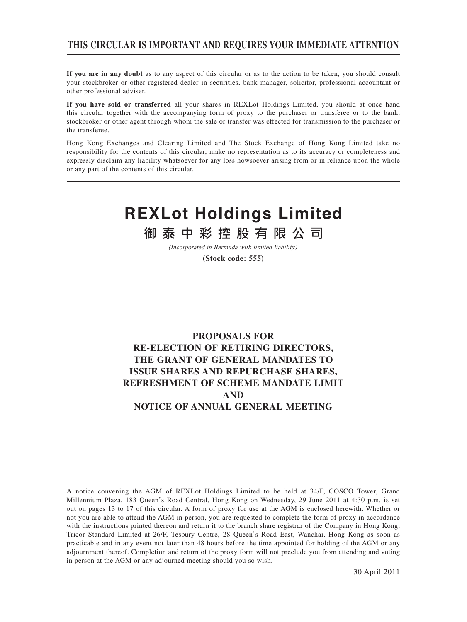# **THIS CIRCULAR IS IMPORTANT AND REQUIRES YOUR IMMEDIATE ATTENTION**

**If you are in any doubt** as to any aspect of this circular or as to the action to be taken, you should consult your stockbroker or other registered dealer in securities, bank manager, solicitor, professional accountant or other professional adviser.

**If you have sold or transferred** all your shares in REXLot Holdings Limited, you should at once hand this circular together with the accompanying form of proxy to the purchaser or transferee or to the bank, stockbroker or other agent through whom the sale or transfer was effected for transmission to the purchaser or the transferee.

Hong Kong Exchanges and Clearing Limited and The Stock Exchange of Hong Kong Limited take no responsibility for the contents of this circular, make no representation as to its accuracy or completeness and expressly disclaim any liability whatsoever for any loss howsoever arising from or in reliance upon the whole or any part of the contents of this circular.

# **REXLot Holdings Limited**

御 泰 中 彩 控 股 有 限 公 司

(Incorporated in Bermuda with limited liability) **(Stock code: 555)**

# **PROPOSALS FOR RE-ELECTION OF RETIRING DIRECTORS, THE GRANT OF GENERAL MANDATES TO ISSUE SHARES AND REPURCHASE SHARES, REFRESHMENT OF SCHEME MANDATE LIMIT AND NOTICE OF ANNUAL GENERAL MEETING**

A notice convening the AGM of REXLot Holdings Limited to be held at 34/F, COSCO Tower, Grand Millennium Plaza, 183 Queen's Road Central, Hong Kong on Wednesday, 29 June 2011 at 4:30 p.m. is set out on pages 13 to 17 of this circular. A form of proxy for use at the AGM is enclosed herewith. Whether or not you are able to attend the AGM in person, you are requested to complete the form of proxy in accordance with the instructions printed thereon and return it to the branch share registrar of the Company in Hong Kong, Tricor Standard Limited at 26/F, Tesbury Centre, 28 Queen's Road East, Wanchai, Hong Kong as soon as practicable and in any event not later than 48 hours before the time appointed for holding of the AGM or any adjournment thereof. Completion and return of the proxy form will not preclude you from attending and voting in person at the AGM or any adjourned meeting should you so wish.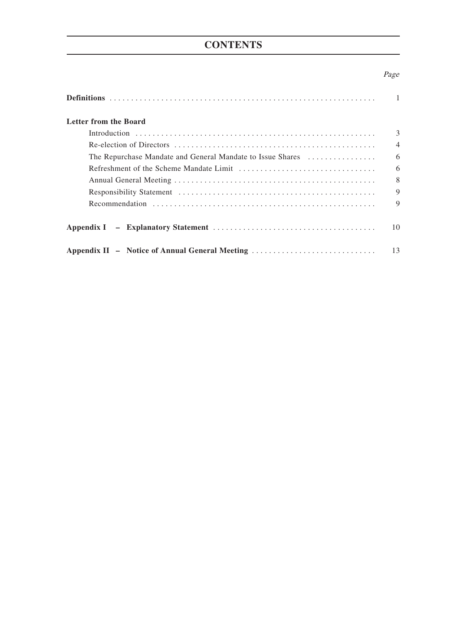# **CONTENTS**

### Page

|                                                            | $\mathbf{1}$   |
|------------------------------------------------------------|----------------|
| Letter from the Board                                      |                |
|                                                            | 3              |
|                                                            | $\overline{4}$ |
| The Repurchase Mandate and General Mandate to Issue Shares | 6              |
|                                                            | 6              |
|                                                            | 8              |
|                                                            | 9              |
|                                                            | 9              |
|                                                            | 10             |
| Appendix II - Notice of Annual General Meeting             | 13             |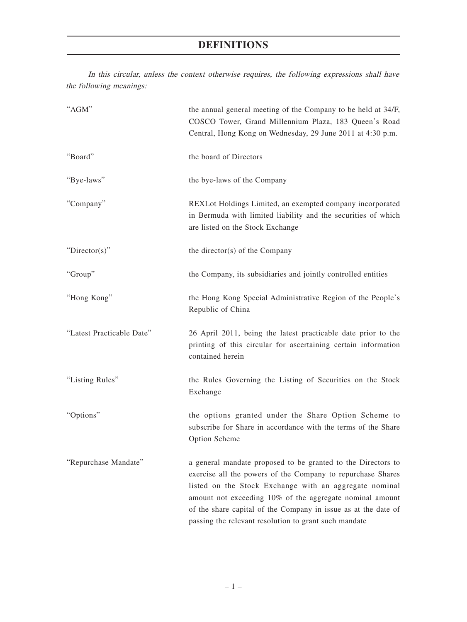# **DEFINITIONS**

In this circular, unless the context otherwise requires, the following expressions shall have the following meanings:

| "AGM"                     | the annual general meeting of the Company to be held at 34/F,<br>COSCO Tower, Grand Millennium Plaza, 183 Queen's Road<br>Central, Hong Kong on Wednesday, 29 June 2011 at 4:30 p.m.                                                                                                                                                                                         |
|---------------------------|------------------------------------------------------------------------------------------------------------------------------------------------------------------------------------------------------------------------------------------------------------------------------------------------------------------------------------------------------------------------------|
| "Board"                   | the board of Directors                                                                                                                                                                                                                                                                                                                                                       |
| "Bye-laws"                | the bye-laws of the Company                                                                                                                                                                                                                                                                                                                                                  |
| "Company"                 | REXLot Holdings Limited, an exempted company incorporated<br>in Bermuda with limited liability and the securities of which<br>are listed on the Stock Exchange                                                                                                                                                                                                               |
| "Director(s)"             | the director(s) of the Company                                                                                                                                                                                                                                                                                                                                               |
| "Group"                   | the Company, its subsidiaries and jointly controlled entities                                                                                                                                                                                                                                                                                                                |
| "Hong Kong"               | the Hong Kong Special Administrative Region of the People's<br>Republic of China                                                                                                                                                                                                                                                                                             |
| "Latest Practicable Date" | 26 April 2011, being the latest practicable date prior to the<br>printing of this circular for ascertaining certain information<br>contained herein                                                                                                                                                                                                                          |
| "Listing Rules"           | the Rules Governing the Listing of Securities on the Stock<br>Exchange                                                                                                                                                                                                                                                                                                       |
| "Options"                 | the options granted under the Share Option Scheme to<br>subscribe for Share in accordance with the terms of the Share<br>Option Scheme                                                                                                                                                                                                                                       |
| "Repurchase Mandate"      | a general mandate proposed to be granted to the Directors to<br>exercise all the powers of the Company to repurchase Shares<br>listed on the Stock Exchange with an aggregate nominal<br>amount not exceeding 10% of the aggregate nominal amount<br>of the share capital of the Company in issue as at the date of<br>passing the relevant resolution to grant such mandate |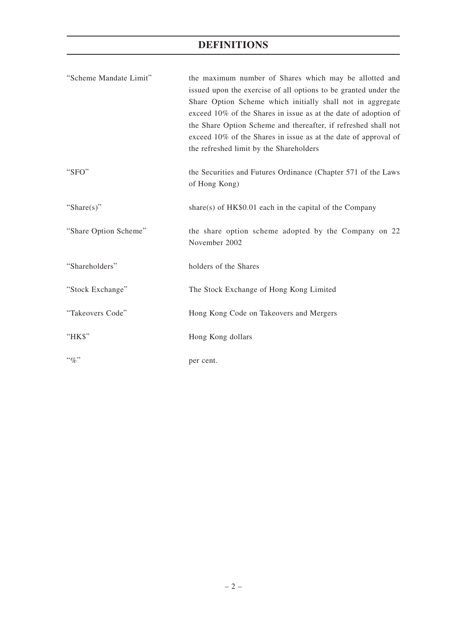# **DEFINITIONS**

| "Scheme Mandate Limit" | the maximum number of Shares which may be allotted and<br>issued upon the exercise of all options to be granted under the<br>Share Option Scheme which initially shall not in aggregate<br>exceed 10% of the Shares in issue as at the date of adoption of<br>the Share Option Scheme and thereafter, if refreshed shall not<br>exceed 10% of the Shares in issue as at the date of approval of<br>the refreshed limit by the Shareholders |
|------------------------|--------------------------------------------------------------------------------------------------------------------------------------------------------------------------------------------------------------------------------------------------------------------------------------------------------------------------------------------------------------------------------------------------------------------------------------------|
| "SFO"                  | the Securities and Futures Ordinance (Chapter 571 of the Laws<br>of Hong Kong)                                                                                                                                                                                                                                                                                                                                                             |
| "Share(s)"             | share(s) of $HK$0.01$ each in the capital of the Company                                                                                                                                                                                                                                                                                                                                                                                   |
| "Share Option Scheme"  | the share option scheme adopted by the Company on 22<br>November 2002                                                                                                                                                                                                                                                                                                                                                                      |
| "Shareholders"         | holders of the Shares                                                                                                                                                                                                                                                                                                                                                                                                                      |
| "Stock Exchange"       | The Stock Exchange of Hong Kong Limited                                                                                                                                                                                                                                                                                                                                                                                                    |
| "Takeovers Code"       | Hong Kong Code on Takeovers and Mergers                                                                                                                                                                                                                                                                                                                                                                                                    |
| "HK\$"                 | Hong Kong dollars                                                                                                                                                                                                                                                                                                                                                                                                                          |
| $``q_0"$               | per cent.                                                                                                                                                                                                                                                                                                                                                                                                                                  |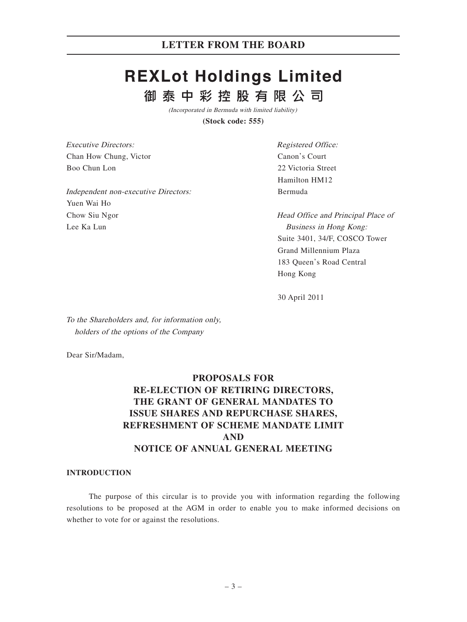# **REXLot Holdings Limited** 御泰中彩控股有限公司

(Incorporated in Bermuda with limited liability)

**(Stock code: 555)**

Executive Directors: Chan How Chung, Victor Boo Chun Lon

Independent non-executive Directors: Yuen Wai Ho Chow Siu Ngor Lee Ka Lun

Registered Office: Canon's Court 22 Victoria Street Hamilton HM12 Bermuda

Head Office and Principal Place of Business in Hong Kong: Suite 3401, 34/F, COSCO Tower Grand Millennium Plaza 183 Queen's Road Central Hong Kong

30 April 2011

To the Shareholders and, for information only, holders of the options of the Company

Dear Sir/Madam,

# **PROPOSALS FOR RE-ELECTION OF RETIRING DIRECTORS, THE GRANT OF GENERAL MANDATES TO ISSUE SHARES AND REPURCHASE SHARES, REFRESHMENT OF SCHEME MANDATE LIMIT AND NOTICE OF ANNUAL GENERAL MEETING**

#### **INTRODUCTION**

The purpose of this circular is to provide you with information regarding the following resolutions to be proposed at the AGM in order to enable you to make informed decisions on whether to vote for or against the resolutions.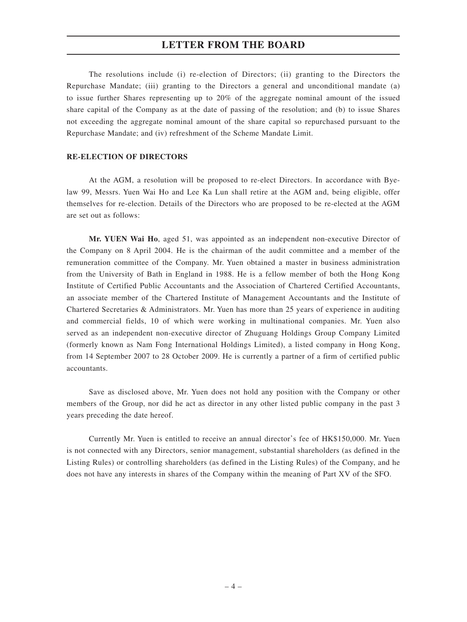The resolutions include (i) re-election of Directors; (ii) granting to the Directors the Repurchase Mandate; (iii) granting to the Directors a general and unconditional mandate (a) to issue further Shares representing up to 20% of the aggregate nominal amount of the issued share capital of the Company as at the date of passing of the resolution; and (b) to issue Shares not exceeding the aggregate nominal amount of the share capital so repurchased pursuant to the Repurchase Mandate; and (iv) refreshment of the Scheme Mandate Limit.

#### **RE-ELECTION OF DIRECTORS**

At the AGM, a resolution will be proposed to re-elect Directors. In accordance with Byelaw 99, Messrs. Yuen Wai Ho and Lee Ka Lun shall retire at the AGM and, being eligible, offer themselves for re-election. Details of the Directors who are proposed to be re-elected at the AGM are set out as follows:

**Mr. YUEN Wai Ho**, aged 51, was appointed as an independent non-executive Director of the Company on 8 April 2004. He is the chairman of the audit committee and a member of the remuneration committee of the Company. Mr. Yuen obtained a master in business administration from the University of Bath in England in 1988. He is a fellow member of both the Hong Kong Institute of Certified Public Accountants and the Association of Chartered Certified Accountants, an associate member of the Chartered Institute of Management Accountants and the Institute of Chartered Secretaries & Administrators. Mr. Yuen has more than 25 years of experience in auditing and commercial fields, 10 of which were working in multinational companies. Mr. Yuen also served as an independent non-executive director of Zhuguang Holdings Group Company Limited (formerly known as Nam Fong International Holdings Limited), a listed company in Hong Kong, from 14 September 2007 to 28 October 2009. He is currently a partner of a firm of certified public accountants.

Save as disclosed above, Mr. Yuen does not hold any position with the Company or other members of the Group, nor did he act as director in any other listed public company in the past 3 years preceding the date hereof.

Currently Mr. Yuen is entitled to receive an annual director's fee of HK\$150,000. Mr. Yuen is not connected with any Directors, senior management, substantial shareholders (as defined in the Listing Rules) or controlling shareholders (as defined in the Listing Rules) of the Company, and he does not have any interests in shares of the Company within the meaning of Part XV of the SFO.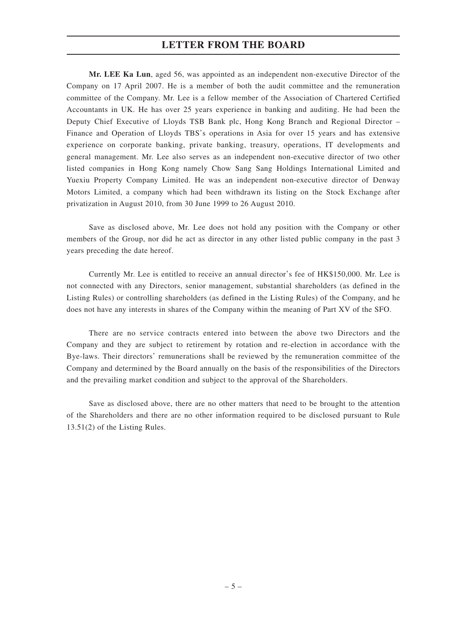**Mr. LEE Ka Lun**, aged 56, was appointed as an independent non-executive Director of the Company on 17 April 2007. He is a member of both the audit committee and the remuneration committee of the Company. Mr. Lee is a fellow member of the Association of Chartered Certified Accountants in UK. He has over 25 years experience in banking and auditing. He had been the Deputy Chief Executive of Lloyds TSB Bank plc, Hong Kong Branch and Regional Director – Finance and Operation of Lloyds TBS's operations in Asia for over 15 years and has extensive experience on corporate banking, private banking, treasury, operations, IT developments and general management. Mr. Lee also serves as an independent non-executive director of two other listed companies in Hong Kong namely Chow Sang Sang Holdings International Limited and Yuexiu Property Company Limited. He was an independent non-executive director of Denway Motors Limited, a company which had been withdrawn its listing on the Stock Exchange after privatization in August 2010, from 30 June 1999 to 26 August 2010.

Save as disclosed above, Mr. Lee does not hold any position with the Company or other members of the Group, nor did he act as director in any other listed public company in the past 3 years preceding the date hereof.

Currently Mr. Lee is entitled to receive an annual director's fee of HK\$150,000. Mr. Lee is not connected with any Directors, senior management, substantial shareholders (as defined in the Listing Rules) or controlling shareholders (as defined in the Listing Rules) of the Company, and he does not have any interests in shares of the Company within the meaning of Part XV of the SFO.

There are no service contracts entered into between the above two Directors and the Company and they are subject to retirement by rotation and re-election in accordance with the Bye-laws. Their directors' remunerations shall be reviewed by the remuneration committee of the Company and determined by the Board annually on the basis of the responsibilities of the Directors and the prevailing market condition and subject to the approval of the Shareholders.

Save as disclosed above, there are no other matters that need to be brought to the attention of the Shareholders and there are no other information required to be disclosed pursuant to Rule 13.51(2) of the Listing Rules.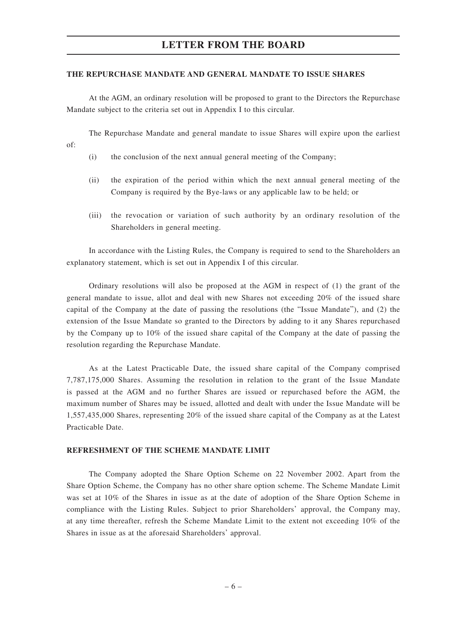#### **THE REPURCHASE MANDATE AND GENERAL MANDATE TO ISSUE SHARES**

At the AGM, an ordinary resolution will be proposed to grant to the Directors the Repurchase Mandate subject to the criteria set out in Appendix I to this circular.

The Repurchase Mandate and general mandate to issue Shares will expire upon the earliest of:

- (i) the conclusion of the next annual general meeting of the Company;
- (ii) the expiration of the period within which the next annual general meeting of the Company is required by the Bye-laws or any applicable law to be held; or
- (iii) the revocation or variation of such authority by an ordinary resolution of the Shareholders in general meeting.

In accordance with the Listing Rules, the Company is required to send to the Shareholders an explanatory statement, which is set out in Appendix I of this circular.

Ordinary resolutions will also be proposed at the AGM in respect of (1) the grant of the general mandate to issue, allot and deal with new Shares not exceeding 20% of the issued share capital of the Company at the date of passing the resolutions (the "Issue Mandate"), and (2) the extension of the Issue Mandate so granted to the Directors by adding to it any Shares repurchased by the Company up to 10% of the issued share capital of the Company at the date of passing the resolution regarding the Repurchase Mandate.

As at the Latest Practicable Date, the issued share capital of the Company comprised 7,787,175,000 Shares. Assuming the resolution in relation to the grant of the Issue Mandate is passed at the AGM and no further Shares are issued or repurchased before the AGM, the maximum number of Shares may be issued, allotted and dealt with under the Issue Mandate will be 1,557,435,000 Shares, representing 20% of the issued share capital of the Company as at the Latest Practicable Date.

#### **REFRESHMENT OF THE SCHEME MANDATE LIMIT**

The Company adopted the Share Option Scheme on 22 November 2002. Apart from the Share Option Scheme, the Company has no other share option scheme. The Scheme Mandate Limit was set at 10% of the Shares in issue as at the date of adoption of the Share Option Scheme in compliance with the Listing Rules. Subject to prior Shareholders' approval, the Company may, at any time thereafter, refresh the Scheme Mandate Limit to the extent not exceeding 10% of the Shares in issue as at the aforesaid Shareholders' approval.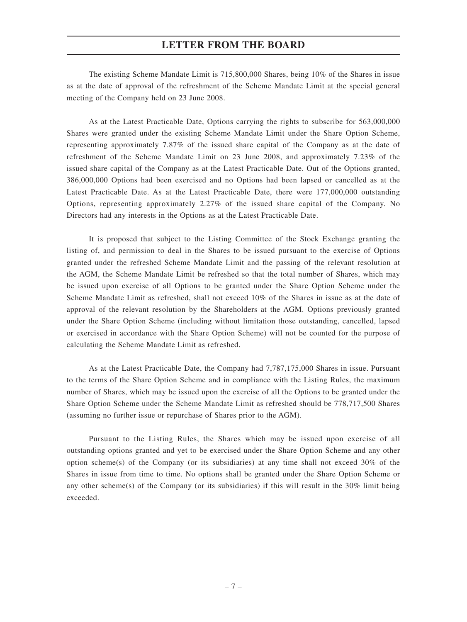The existing Scheme Mandate Limit is 715,800,000 Shares, being 10% of the Shares in issue as at the date of approval of the refreshment of the Scheme Mandate Limit at the special general meeting of the Company held on 23 June 2008.

As at the Latest Practicable Date, Options carrying the rights to subscribe for 563,000,000 Shares were granted under the existing Scheme Mandate Limit under the Share Option Scheme, representing approximately 7.87% of the issued share capital of the Company as at the date of refreshment of the Scheme Mandate Limit on 23 June 2008, and approximately 7.23% of the issued share capital of the Company as at the Latest Practicable Date. Out of the Options granted, 386,000,000 Options had been exercised and no Options had been lapsed or cancelled as at the Latest Practicable Date. As at the Latest Practicable Date, there were 177,000,000 outstanding Options, representing approximately 2.27% of the issued share capital of the Company. No Directors had any interests in the Options as at the Latest Practicable Date.

It is proposed that subject to the Listing Committee of the Stock Exchange granting the listing of, and permission to deal in the Shares to be issued pursuant to the exercise of Options granted under the refreshed Scheme Mandate Limit and the passing of the relevant resolution at the AGM, the Scheme Mandate Limit be refreshed so that the total number of Shares, which may be issued upon exercise of all Options to be granted under the Share Option Scheme under the Scheme Mandate Limit as refreshed, shall not exceed 10% of the Shares in issue as at the date of approval of the relevant resolution by the Shareholders at the AGM. Options previously granted under the Share Option Scheme (including without limitation those outstanding, cancelled, lapsed or exercised in accordance with the Share Option Scheme) will not be counted for the purpose of calculating the Scheme Mandate Limit as refreshed.

As at the Latest Practicable Date, the Company had 7,787,175,000 Shares in issue. Pursuant to the terms of the Share Option Scheme and in compliance with the Listing Rules, the maximum number of Shares, which may be issued upon the exercise of all the Options to be granted under the Share Option Scheme under the Scheme Mandate Limit as refreshed should be 778,717,500 Shares (assuming no further issue or repurchase of Shares prior to the AGM).

Pursuant to the Listing Rules, the Shares which may be issued upon exercise of all outstanding options granted and yet to be exercised under the Share Option Scheme and any other option scheme(s) of the Company (or its subsidiaries) at any time shall not exceed  $30\%$  of the Shares in issue from time to time. No options shall be granted under the Share Option Scheme or any other scheme(s) of the Company (or its subsidiaries) if this will result in the 30% limit being exceeded.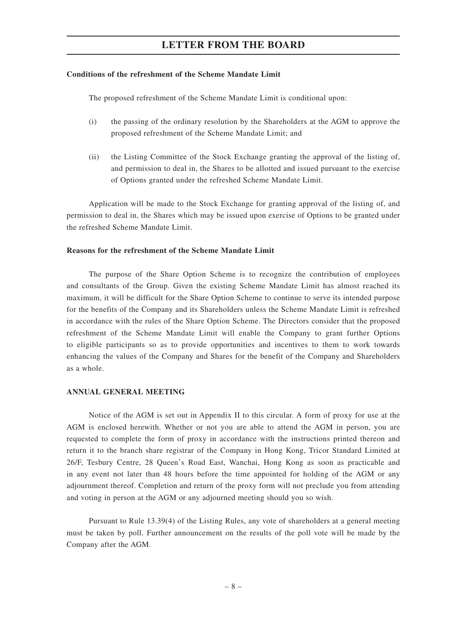#### **Conditions of the refreshment of the Scheme Mandate Limit**

The proposed refreshment of the Scheme Mandate Limit is conditional upon:

- (i) the passing of the ordinary resolution by the Shareholders at the AGM to approve the proposed refreshment of the Scheme Mandate Limit; and
- (ii) the Listing Committee of the Stock Exchange granting the approval of the listing of, and permission to deal in, the Shares to be allotted and issued pursuant to the exercise of Options granted under the refreshed Scheme Mandate Limit.

Application will be made to the Stock Exchange for granting approval of the listing of, and permission to deal in, the Shares which may be issued upon exercise of Options to be granted under the refreshed Scheme Mandate Limit.

#### **Reasons for the refreshment of the Scheme Mandate Limit**

The purpose of the Share Option Scheme is to recognize the contribution of employees and consultants of the Group. Given the existing Scheme Mandate Limit has almost reached its maximum, it will be difficult for the Share Option Scheme to continue to serve its intended purpose for the benefits of the Company and its Shareholders unless the Scheme Mandate Limit is refreshed in accordance with the rules of the Share Option Scheme. The Directors consider that the proposed refreshment of the Scheme Mandate Limit will enable the Company to grant further Options to eligible participants so as to provide opportunities and incentives to them to work towards enhancing the values of the Company and Shares for the benefit of the Company and Shareholders as a whole.

#### **ANNUAL GENERAL MEETING**

Notice of the AGM is set out in Appendix II to this circular. A form of proxy for use at the AGM is enclosed herewith. Whether or not you are able to attend the AGM in person, you are requested to complete the form of proxy in accordance with the instructions printed thereon and return it to the branch share registrar of the Company in Hong Kong, Tricor Standard Limited at 26/F, Tesbury Centre, 28 Queen's Road East, Wanchai, Hong Kong as soon as practicable and in any event not later than 48 hours before the time appointed for holding of the AGM or any adjournment thereof. Completion and return of the proxy form will not preclude you from attending and voting in person at the AGM or any adjourned meeting should you so wish.

Pursuant to Rule 13.39(4) of the Listing Rules, any vote of shareholders at a general meeting must be taken by poll. Further announcement on the results of the poll vote will be made by the Company after the AGM.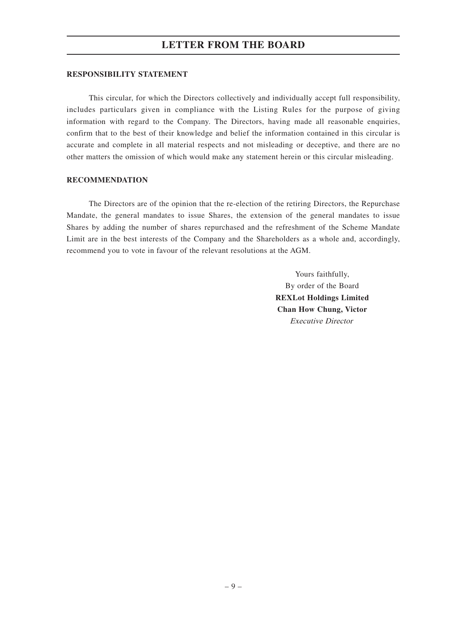#### **RESPONSIBILITY STATEMENT**

This circular, for which the Directors collectively and individually accept full responsibility, includes particulars given in compliance with the Listing Rules for the purpose of giving information with regard to the Company. The Directors, having made all reasonable enquiries, confirm that to the best of their knowledge and belief the information contained in this circular is accurate and complete in all material respects and not misleading or deceptive, and there are no other matters the omission of which would make any statement herein or this circular misleading.

#### **RECOMMENDATION**

The Directors are of the opinion that the re-election of the retiring Directors, the Repurchase Mandate, the general mandates to issue Shares, the extension of the general mandates to issue Shares by adding the number of shares repurchased and the refreshment of the Scheme Mandate Limit are in the best interests of the Company and the Shareholders as a whole and, accordingly, recommend you to vote in favour of the relevant resolutions at the AGM.

> Yours faithfully, By order of the Board **REXLot Holdings Limited Chan How Chung, Victor** Executive Director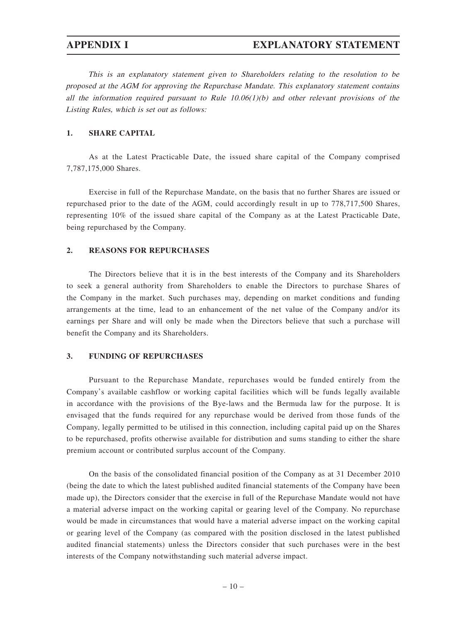# **APPENDIX I EXPLANATORY STATEMENT**

This is an explanatory statement given to Shareholders relating to the resolution to be proposed at the AGM for approving the Repurchase Mandate. This explanatory statement contains all the information required pursuant to Rule  $10.06(1)(b)$  and other relevant provisions of the Listing Rules, which is set out as follows:

#### **1. SHARE CAPITAL**

As at the Latest Practicable Date, the issued share capital of the Company comprised 7,787,175,000 Shares.

Exercise in full of the Repurchase Mandate, on the basis that no further Shares are issued or repurchased prior to the date of the AGM, could accordingly result in up to 778,717,500 Shares, representing 10% of the issued share capital of the Company as at the Latest Practicable Date, being repurchased by the Company.

#### **2. REASONS FOR REPURCHASES**

The Directors believe that it is in the best interests of the Company and its Shareholders to seek a general authority from Shareholders to enable the Directors to purchase Shares of the Company in the market. Such purchases may, depending on market conditions and funding arrangements at the time, lead to an enhancement of the net value of the Company and/or its earnings per Share and will only be made when the Directors believe that such a purchase will benefit the Company and its Shareholders.

#### **3. FUNDING OF REPURCHASES**

Pursuant to the Repurchase Mandate, repurchases would be funded entirely from the Company's available cashflow or working capital facilities which will be funds legally available in accordance with the provisions of the Bye-laws and the Bermuda law for the purpose. It is envisaged that the funds required for any repurchase would be derived from those funds of the Company, legally permitted to be utilised in this connection, including capital paid up on the Shares to be repurchased, profits otherwise available for distribution and sums standing to either the share premium account or contributed surplus account of the Company.

On the basis of the consolidated financial position of the Company as at 31 December 2010 (being the date to which the latest published audited financial statements of the Company have been made up), the Directors consider that the exercise in full of the Repurchase Mandate would not have a material adverse impact on the working capital or gearing level of the Company. No repurchase would be made in circumstances that would have a material adverse impact on the working capital or gearing level of the Company (as compared with the position disclosed in the latest published audited financial statements) unless the Directors consider that such purchases were in the best interests of the Company notwithstanding such material adverse impact.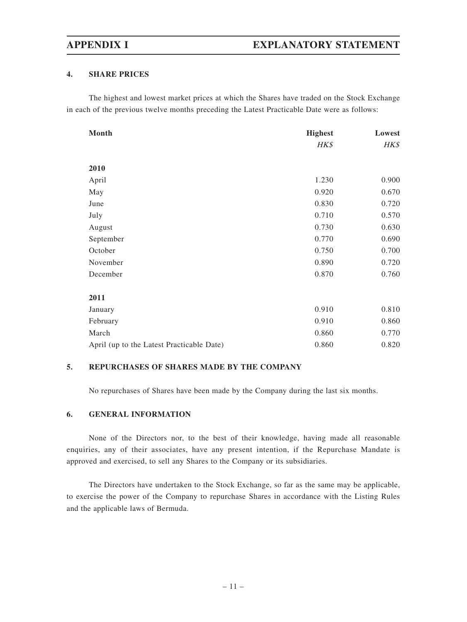### **4. SHARE PRICES**

The highest and lowest market prices at which the Shares have traded on the Stock Exchange in each of the previous twelve months preceding the Latest Practicable Date were as follows:

| Month                                     | <b>Highest</b> | Lowest |
|-------------------------------------------|----------------|--------|
|                                           | HK\$           | HK\$   |
|                                           |                |        |
| 2010                                      |                |        |
| April                                     | 1.230          | 0.900  |
| May                                       | 0.920          | 0.670  |
| June                                      | 0.830          | 0.720  |
| July                                      | 0.710          | 0.570  |
| August                                    | 0.730          | 0.630  |
| September                                 | 0.770          | 0.690  |
| October                                   | 0.750          | 0.700  |
| November                                  | 0.890          | 0.720  |
| December                                  | 0.870          | 0.760  |
|                                           |                |        |
| 2011                                      |                |        |
| January                                   | 0.910          | 0.810  |
| February                                  | 0.910          | 0.860  |
| March                                     | 0.860          | 0.770  |
| April (up to the Latest Practicable Date) | 0.860          | 0.820  |

### **5. REPURCHASES OF SHARES MADE BY THE COMPANY**

No repurchases of Shares have been made by the Company during the last six months.

### **6. GENERAL INFORMATION**

None of the Directors nor, to the best of their knowledge, having made all reasonable enquiries, any of their associates, have any present intention, if the Repurchase Mandate is approved and exercised, to sell any Shares to the Company or its subsidiaries.

The Directors have undertaken to the Stock Exchange, so far as the same may be applicable, to exercise the power of the Company to repurchase Shares in accordance with the Listing Rules and the applicable laws of Bermuda.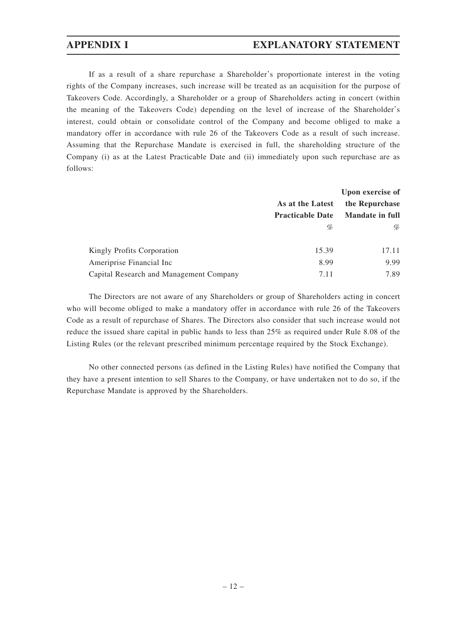If as a result of a share repurchase a Shareholder's proportionate interest in the voting rights of the Company increases, such increase will be treated as an acquisition for the purpose of Takeovers Code. Accordingly, a Shareholder or a group of Shareholders acting in concert (within the meaning of the Takeovers Code) depending on the level of increase of the Shareholder's interest, could obtain or consolidate control of the Company and become obliged to make a mandatory offer in accordance with rule 26 of the Takeovers Code as a result of such increase. Assuming that the Repurchase Mandate is exercised in full, the shareholding structure of the Company (i) as at the Latest Practicable Date and (ii) immediately upon such repurchase are as follows:

|                                         |                         | Upon exercise of       |  |
|-----------------------------------------|-------------------------|------------------------|--|
|                                         | As at the Latest        | the Repurchase         |  |
|                                         | <b>Practicable Date</b> | <b>Mandate in full</b> |  |
|                                         | %                       | %                      |  |
|                                         |                         |                        |  |
| Kingly Profits Corporation              | 15.39                   | 17.11                  |  |
| Ameriprise Financial Inc.               | 8.99                    | 9.99                   |  |
| Capital Research and Management Company | 7.11                    | 7.89                   |  |

The Directors are not aware of any Shareholders or group of Shareholders acting in concert who will become obliged to make a mandatory offer in accordance with rule 26 of the Takeovers Code as a result of repurchase of Shares. The Directors also consider that such increase would not reduce the issued share capital in public hands to less than 25% as required under Rule 8.08 of the Listing Rules (or the relevant prescribed minimum percentage required by the Stock Exchange).

No other connected persons (as defined in the Listing Rules) have notified the Company that they have a present intention to sell Shares to the Company, or have undertaken not to do so, if the Repurchase Mandate is approved by the Shareholders.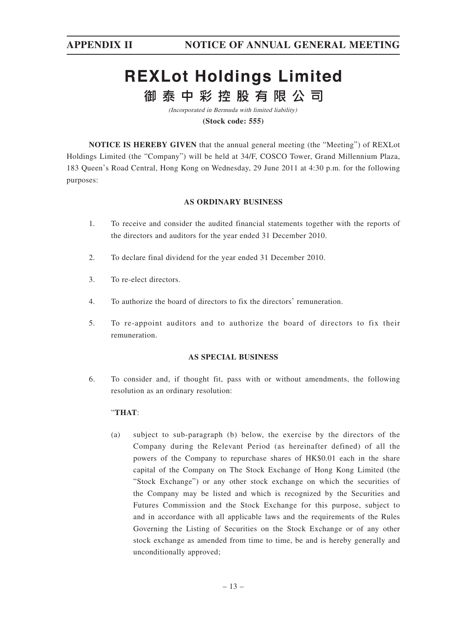# **REXLot Holdings Limited** 御泰中彩控股有限公司

(Incorporated in Bermuda with limited liability) **(Stock code: 555)**

**NOTICE IS HEREBY GIVEN** that the annual general meeting (the "Meeting") of REXLot Holdings Limited (the "Company") will be held at 34/F, COSCO Tower, Grand Millennium Plaza, 183 Queen's Road Central, Hong Kong on Wednesday, 29 June 2011 at 4:30 p.m. for the following purposes:

### **AS ORDINARY BUSINESS**

- 1. To receive and consider the audited financial statements together with the reports of the directors and auditors for the year ended 31 December 2010.
- 2. To declare final dividend for the year ended 31 December 2010.
- 3. To re-elect directors.
- 4. To authorize the board of directors to fix the directors' remuneration.
- 5. To re-appoint auditors and to authorize the board of directors to fix their remuneration.

#### **AS SPECIAL BUSINESS**

6. To consider and, if thought fit, pass with or without amendments, the following resolution as an ordinary resolution:

### "**THAT**:

(a) subject to sub-paragraph (b) below, the exercise by the directors of the Company during the Relevant Period (as hereinafter defined) of all the powers of the Company to repurchase shares of HK\$0.01 each in the share capital of the Company on The Stock Exchange of Hong Kong Limited (the "Stock Exchange") or any other stock exchange on which the securities of the Company may be listed and which is recognized by the Securities and Futures Commission and the Stock Exchange for this purpose, subject to and in accordance with all applicable laws and the requirements of the Rules Governing the Listing of Securities on the Stock Exchange or of any other stock exchange as amended from time to time, be and is hereby generally and unconditionally approved;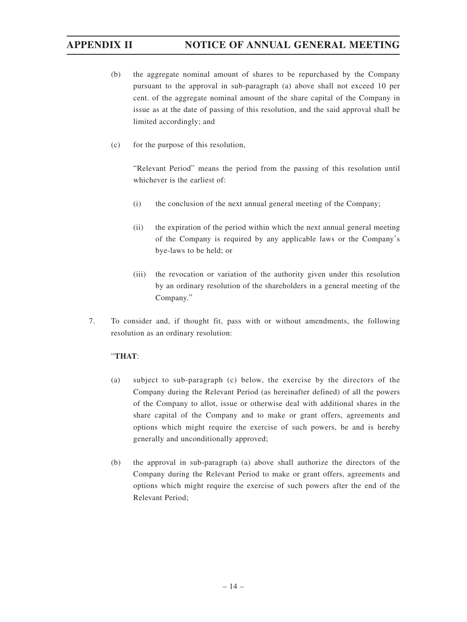- (b) the aggregate nominal amount of shares to be repurchased by the Company pursuant to the approval in sub-paragraph (a) above shall not exceed 10 per cent. of the aggregate nominal amount of the share capital of the Company in issue as at the date of passing of this resolution, and the said approval shall be limited accordingly; and
- (c) for the purpose of this resolution,

"Relevant Period" means the period from the passing of this resolution until whichever is the earliest of:

- (i) the conclusion of the next annual general meeting of the Company;
- (ii) the expiration of the period within which the next annual general meeting of the Company is required by any applicable laws or the Company's bye-laws to be held; or
- (iii) the revocation or variation of the authority given under this resolution by an ordinary resolution of the shareholders in a general meeting of the Company."
- 7. To consider and, if thought fit, pass with or without amendments, the following resolution as an ordinary resolution:

### "**THAT**:

- (a) subject to sub-paragraph (c) below, the exercise by the directors of the Company during the Relevant Period (as hereinafter defined) of all the powers of the Company to allot, issue or otherwise deal with additional shares in the share capital of the Company and to make or grant offers, agreements and options which might require the exercise of such powers, be and is hereby generally and unconditionally approved;
- (b) the approval in sub-paragraph (a) above shall authorize the directors of the Company during the Relevant Period to make or grant offers, agreements and options which might require the exercise of such powers after the end of the Relevant Period;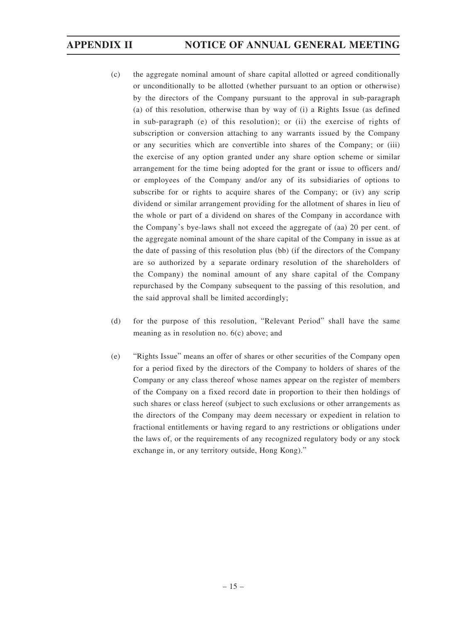# **APPENDIX II NOTICE OF ANNUAL GENERAL MEETING**

- (c) the aggregate nominal amount of share capital allotted or agreed conditionally or unconditionally to be allotted (whether pursuant to an option or otherwise) by the directors of the Company pursuant to the approval in sub-paragraph (a) of this resolution, otherwise than by way of (i) a Rights Issue (as defined in sub-paragraph (e) of this resolution); or (ii) the exercise of rights of subscription or conversion attaching to any warrants issued by the Company or any securities which are convertible into shares of the Company; or (iii) the exercise of any option granted under any share option scheme or similar arrangement for the time being adopted for the grant or issue to officers and/ or employees of the Company and/or any of its subsidiaries of options to subscribe for or rights to acquire shares of the Company; or (iv) any scrip dividend or similar arrangement providing for the allotment of shares in lieu of the whole or part of a dividend on shares of the Company in accordance with the Company's bye-laws shall not exceed the aggregate of (aa) 20 per cent. of the aggregate nominal amount of the share capital of the Company in issue as at the date of passing of this resolution plus (bb) (if the directors of the Company are so authorized by a separate ordinary resolution of the shareholders of the Company) the nominal amount of any share capital of the Company repurchased by the Company subsequent to the passing of this resolution, and the said approval shall be limited accordingly;
- (d) for the purpose of this resolution, "Relevant Period" shall have the same meaning as in resolution no. 6(c) above; and
- (e) "Rights Issue" means an offer of shares or other securities of the Company open for a period fixed by the directors of the Company to holders of shares of the Company or any class thereof whose names appear on the register of members of the Company on a fixed record date in proportion to their then holdings of such shares or class hereof (subject to such exclusions or other arrangements as the directors of the Company may deem necessary or expedient in relation to fractional entitlements or having regard to any restrictions or obligations under the laws of, or the requirements of any recognized regulatory body or any stock exchange in, or any territory outside, Hong Kong)."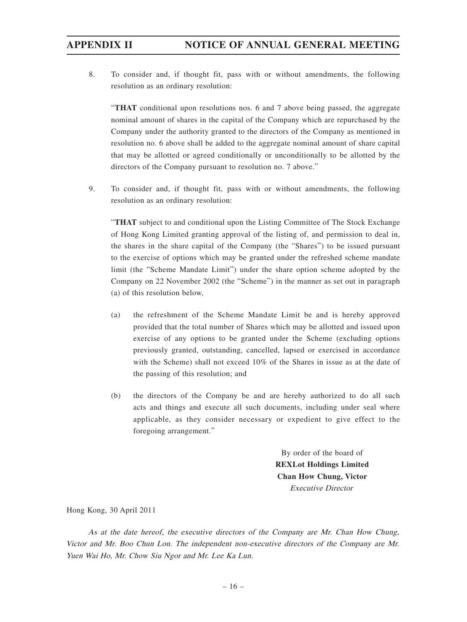8. To consider and, if thought fit, pass with or without amendments, the following resolution as an ordinary resolution:

"**THAT** conditional upon resolutions nos. 6 and 7 above being passed, the aggregate nominal amount of shares in the capital of the Company which are repurchased by the Company under the authority granted to the directors of the Company as mentioned in resolution no. 6 above shall be added to the aggregate nominal amount of share capital that may be allotted or agreed conditionally or unconditionally to be allotted by the directors of the Company pursuant to resolution no. 7 above."

9. To consider and, if thought fit, pass with or without amendments, the following resolution as an ordinary resolution:

"**THAT** subject to and conditional upon the Listing Committee of The Stock Exchange of Hong Kong Limited granting approval of the listing of, and permission to deal in, the shares in the share capital of the Company (the "Shares") to be issued pursuant to the exercise of options which may be granted under the refreshed scheme mandate limit (the "Scheme Mandate Limit") under the share option scheme adopted by the Company on 22 November 2002 (the "Scheme") in the manner as set out in paragraph (a) of this resolution below,

- (a) the refreshment of the Scheme Mandate Limit be and is hereby approved provided that the total number of Shares which may be allotted and issued upon exercise of any options to be granted under the Scheme (excluding options previously granted, outstanding, cancelled, lapsed or exercised in accordance with the Scheme) shall not exceed 10% of the Shares in issue as at the date of the passing of this resolution; and
- (b) the directors of the Company be and are hereby authorized to do all such acts and things and execute all such documents, including under seal where applicable, as they consider necessary or expedient to give effect to the foregoing arrangement."

By order of the board of **REXLot Holdings Limited Chan How Chung, Victor** Executive Director

Hong Kong, 30 April 2011

As at the date hereof, the executive directors of the Company are Mr. Chan How Chung, Victor and Mr. Boo Chun Lon. The independent non-executive directors of the Company are Mr. Yuen Wai Ho, Mr. Chow Siu Ngor and Mr. Lee Ka Lun.